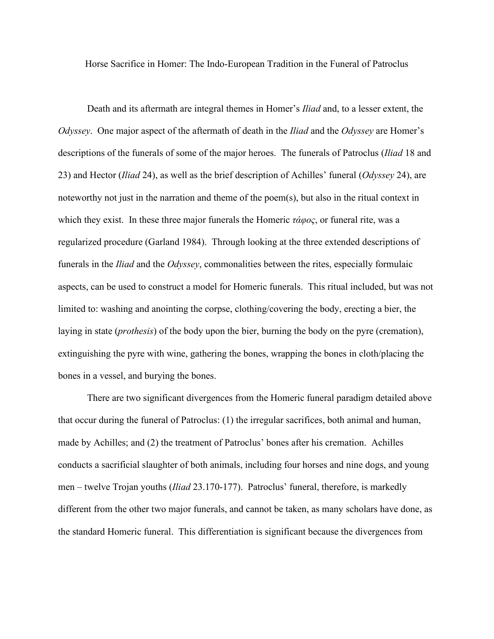Horse Sacrifice in Homer: The Indo-European Tradition in the Funeral of Patroclus

Death and its aftermath are integral themes in Homer's *Iliad* and, to a lesser extent, the *Odyssey*. One major aspect of the aftermath of death in the *Iliad* and the *Odyssey* are Homer's descriptions of the funerals of some of the major heroes. The funerals of Patroclus (*Iliad* 18 and 23) and Hector (*Iliad* 24), as well as the brief description of Achilles' funeral (*Odyssey* 24), are noteworthy not just in the narration and theme of the poem(s), but also in the ritual context in which they exist. In these three major funerals the Homeric *τάφος*, or funeral rite, was a regularized procedure (Garland 1984). Through looking at the three extended descriptions of funerals in the *Iliad* and the *Odyssey*, commonalities between the rites, especially formulaic aspects, can be used to construct a model for Homeric funerals. This ritual included, but was not limited to: washing and anointing the corpse, clothing/covering the body, erecting a bier, the laying in state (*prothesis*) of the body upon the bier, burning the body on the pyre (cremation), extinguishing the pyre with wine, gathering the bones, wrapping the bones in cloth/placing the bones in a vessel, and burying the bones.

There are two significant divergences from the Homeric funeral paradigm detailed above that occur during the funeral of Patroclus: (1) the irregular sacrifices, both animal and human, made by Achilles; and (2) the treatment of Patroclus' bones after his cremation. Achilles conducts a sacrificial slaughter of both animals, including four horses and nine dogs, and young men – twelve Trojan youths (*Iliad* 23.170-177). Patroclus' funeral, therefore, is markedly different from the other two major funerals, and cannot be taken, as many scholars have done, as the standard Homeric funeral. This differentiation is significant because the divergences from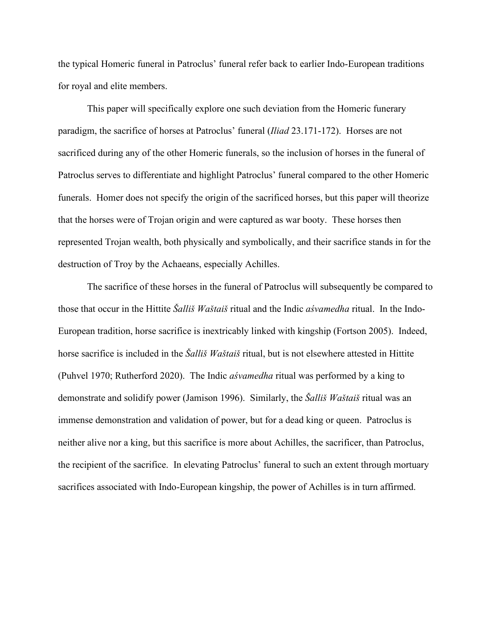the typical Homeric funeral in Patroclus' funeral refer back to earlier Indo-European traditions for royal and elite members.

This paper will specifically explore one such deviation from the Homeric funerary paradigm, the sacrifice of horses at Patroclus' funeral (*Iliad* 23.171-172). Horses are not sacrificed during any of the other Homeric funerals, so the inclusion of horses in the funeral of Patroclus serves to differentiate and highlight Patroclus' funeral compared to the other Homeric funerals. Homer does not specify the origin of the sacrificed horses, but this paper will theorize that the horses were of Trojan origin and were captured as war booty. These horses then represented Trojan wealth, both physically and symbolically, and their sacrifice stands in for the destruction of Troy by the Achaeans, especially Achilles.

The sacrifice of these horses in the funeral of Patroclus will subsequently be compared to those that occur in the Hittite *Šalliš Waštaiš* ritual and the Indic *aśvamedha* ritual. In the Indo-European tradition, horse sacrifice is inextricably linked with kingship (Fortson 2005). Indeed, horse sacrifice is included in the *Šalliš Waštaiš* ritual, but is not elsewhere attested in Hittite (Puhvel 1970; Rutherford 2020). The Indic *aśvamedha* ritual was performed by a king to demonstrate and solidify power (Jamison 1996). Similarly, the *Šalliš Waštaiš* ritual was an immense demonstration and validation of power, but for a dead king or queen. Patroclus is neither alive nor a king, but this sacrifice is more about Achilles, the sacrificer, than Patroclus, the recipient of the sacrifice. In elevating Patroclus' funeral to such an extent through mortuary sacrifices associated with Indo-European kingship, the power of Achilles is in turn affirmed.